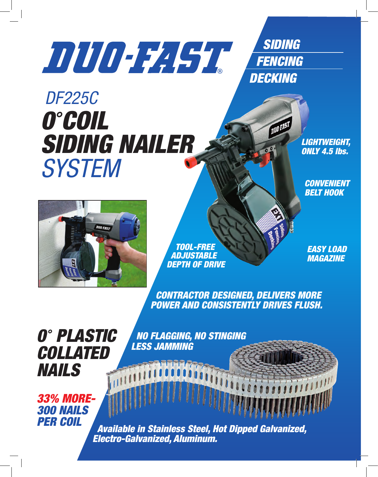## *SIDING*

 *FENCING DECKING*

**DUO-FAST** 

## *DF225C 0 COIL SIDING NAILER SYSTEM*

*LIGHTWEIGHT, ONLY 4.5 lbs.*

*CONVENIENT BELT HOOK*



 *TOOL-FREE ADJUSTABLE DEPTH OF DRIVE*

*EASY LOAD MAGAZINE*

 *CONTRACTOR DESIGNED, DELIVERS MORE POWER AND CONSISTENTLY DRIVES FLUSH.*

*0 PLASTIC COLLATED NAILS*

 *NO FLAGGING, NO STINGING LESS JAMMING*

*33% MORE-300 NAILS* 

**Available in Stainless Steel, Hot Dipped Galvanized,**  *Electro-Galvanized, Aluminum.*